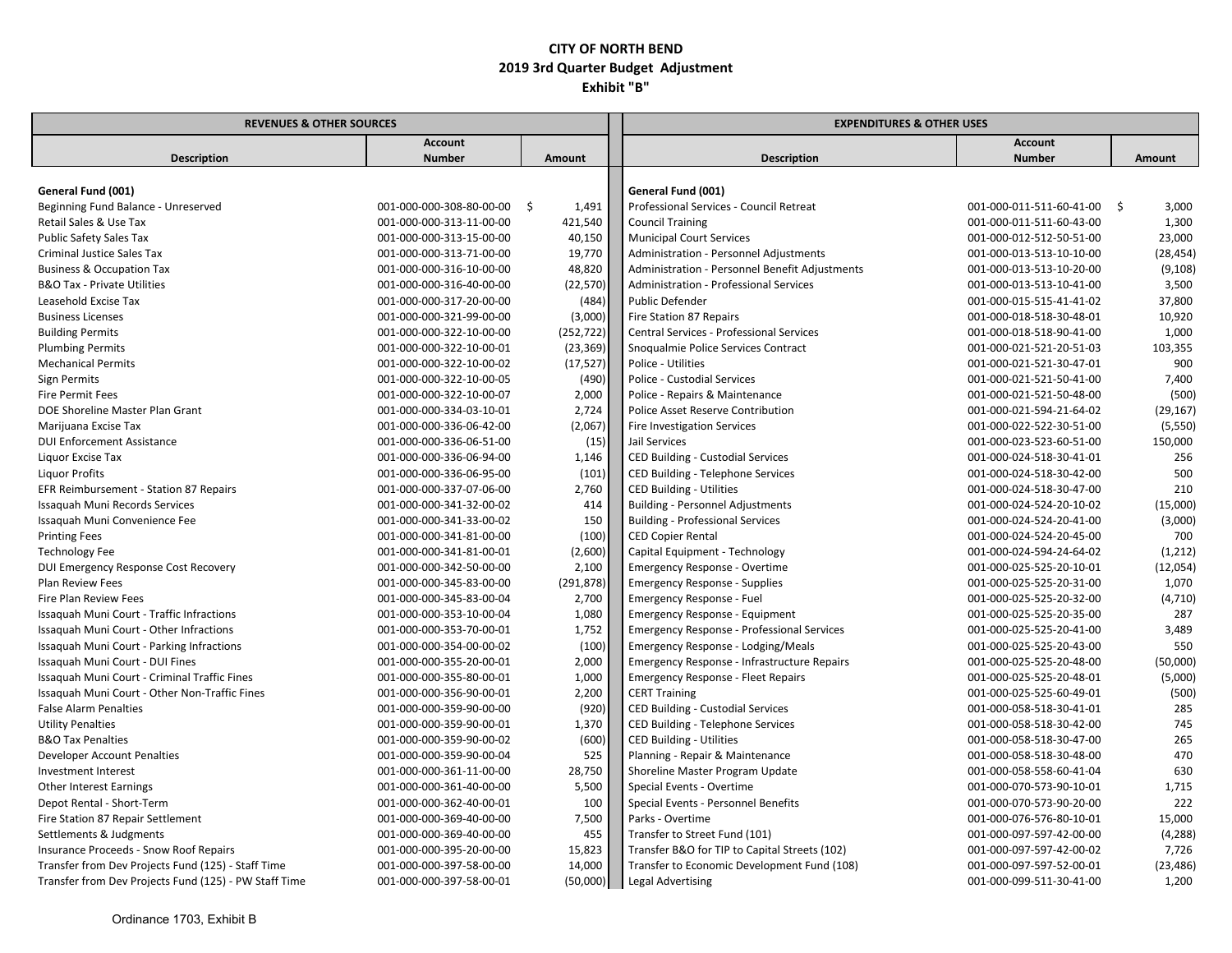| <b>REVENUES &amp; OTHER SOURCES</b>                   |                             | <b>EXPENDITURES &amp; OTHER USES</b> |                                                   |                             |               |  |
|-------------------------------------------------------|-----------------------------|--------------------------------------|---------------------------------------------------|-----------------------------|---------------|--|
|                                                       | <b>Account</b>              |                                      |                                                   | <b>Account</b>              |               |  |
| <b>Description</b>                                    | <b>Number</b>               | Amount                               | <b>Description</b>                                | <b>Number</b>               | <b>Amount</b> |  |
|                                                       |                             |                                      |                                                   |                             |               |  |
| General Fund (001)                                    |                             |                                      | General Fund (001)                                |                             |               |  |
| Beginning Fund Balance - Unreserved                   | 001-000-000-308-80-00-00 \$ | 1,491                                | Professional Services - Council Retreat           | 001-000-011-511-60-41-00 \$ | 3,000         |  |
| Retail Sales & Use Tax                                | 001-000-000-313-11-00-00    | 421,540                              | <b>Council Training</b>                           | 001-000-011-511-60-43-00    | 1,300         |  |
| Public Safety Sales Tax                               | 001-000-000-313-15-00-00    | 40,150                               | <b>Municipal Court Services</b>                   | 001-000-012-512-50-51-00    | 23,000        |  |
| Criminal Justice Sales Tax                            | 001-000-000-313-71-00-00    | 19,770                               | Administration - Personnel Adjustments            | 001-000-013-513-10-10-00    | (28, 454)     |  |
| <b>Business &amp; Occupation Tax</b>                  | 001-000-000-316-10-00-00    | 48,820                               | Administration - Personnel Benefit Adjustments    | 001-000-013-513-10-20-00    | (9, 108)      |  |
| <b>B&amp;O Tax - Private Utilities</b>                | 001-000-000-316-40-00-00    | (22, 570)                            | Administration - Professional Services            | 001-000-013-513-10-41-00    | 3,500         |  |
| Leasehold Excise Tax                                  | 001-000-000-317-20-00-00    | (484)                                | Public Defender                                   | 001-000-015-515-41-41-02    | 37,800        |  |
| <b>Business Licenses</b>                              | 001-000-000-321-99-00-00    | (3,000)                              | Fire Station 87 Repairs                           | 001-000-018-518-30-48-01    | 10,920        |  |
| <b>Building Permits</b>                               | 001-000-000-322-10-00-00    | (252, 722)                           | Central Services - Professional Services          | 001-000-018-518-90-41-00    | 1,000         |  |
| <b>Plumbing Permits</b>                               | 001-000-000-322-10-00-01    | (23, 369)                            | Snoqualmie Police Services Contract               | 001-000-021-521-20-51-03    | 103,355       |  |
| <b>Mechanical Permits</b>                             | 001-000-000-322-10-00-02    | (17, 527)                            | Police - Utilities                                | 001-000-021-521-30-47-01    | 900           |  |
| <b>Sign Permits</b>                                   | 001-000-000-322-10-00-05    | (490)                                | Police - Custodial Services                       | 001-000-021-521-50-41-00    | 7,400         |  |
| <b>Fire Permit Fees</b>                               | 001-000-000-322-10-00-07    | 2,000                                | Police - Repairs & Maintenance                    | 001-000-021-521-50-48-00    | (500)         |  |
| DOE Shoreline Master Plan Grant                       | 001-000-000-334-03-10-01    | 2,724                                | Police Asset Reserve Contribution                 | 001-000-021-594-21-64-02    | (29, 167)     |  |
| Marijuana Excise Tax                                  | 001-000-000-336-06-42-00    | (2,067)                              | <b>Fire Investigation Services</b>                | 001-000-022-522-30-51-00    | (5, 550)      |  |
| <b>DUI Enforcement Assistance</b>                     | 001-000-000-336-06-51-00    | (15)                                 | Jail Services                                     | 001-000-023-523-60-51-00    | 150,000       |  |
| Liquor Excise Tax                                     | 001-000-000-336-06-94-00    | 1,146                                | CED Building - Custodial Services                 | 001-000-024-518-30-41-01    | 256           |  |
| <b>Liquor Profits</b>                                 | 001-000-000-336-06-95-00    | (101)                                | CED Building - Telephone Services                 | 001-000-024-518-30-42-00    | 500           |  |
| EFR Reimbursement - Station 87 Repairs                | 001-000-000-337-07-06-00    | 2,760                                | <b>CED Building - Utilities</b>                   | 001-000-024-518-30-47-00    | 210           |  |
| Issaquah Muni Records Services                        | 001-000-000-341-32-00-02    | 414                                  | <b>Building - Personnel Adjustments</b>           | 001-000-024-524-20-10-02    | (15,000)      |  |
| Issaquah Muni Convenience Fee                         | 001-000-000-341-33-00-02    | 150                                  | <b>Building - Professional Services</b>           | 001-000-024-524-20-41-00    | (3,000)       |  |
| <b>Printing Fees</b>                                  | 001-000-000-341-81-00-00    | (100)                                | <b>CED Copier Rental</b>                          | 001-000-024-524-20-45-00    | 700           |  |
| <b>Technology Fee</b>                                 | 001-000-000-341-81-00-01    | (2,600)                              | Capital Equipment - Technology                    | 001-000-024-594-24-64-02    | (1, 212)      |  |
| DUI Emergency Response Cost Recovery                  | 001-000-000-342-50-00-00    | 2,100                                | <b>Emergency Response - Overtime</b>              | 001-000-025-525-20-10-01    | (12,054)      |  |
| <b>Plan Review Fees</b>                               | 001-000-000-345-83-00-00    | (291, 878)                           | <b>Emergency Response - Supplies</b>              | 001-000-025-525-20-31-00    | 1,070         |  |
| Fire Plan Review Fees                                 | 001-000-000-345-83-00-04    | 2,700                                | Emergency Response - Fuel                         | 001-000-025-525-20-32-00    | (4,710)       |  |
| Issaquah Muni Court - Traffic Infractions             | 001-000-000-353-10-00-04    | 1,080                                | Emergency Response - Equipment                    | 001-000-025-525-20-35-00    | 287           |  |
| Issaguah Muni Court - Other Infractions               | 001-000-000-353-70-00-01    | 1,752                                | <b>Emergency Response - Professional Services</b> | 001-000-025-525-20-41-00    | 3,489         |  |
| Issaquah Muni Court - Parking Infractions             | 001-000-000-354-00-00-02    | (100)                                | Emergency Response - Lodging/Meals                | 001-000-025-525-20-43-00    | 550           |  |
| Issaquah Muni Court - DUI Fines                       | 001-000-000-355-20-00-01    | 2,000                                | Emergency Response - Infrastructure Repairs       | 001-000-025-525-20-48-00    | (50,000)      |  |
| Issaquah Muni Court - Criminal Traffic Fines          | 001-000-000-355-80-00-01    | 1,000                                | <b>Emergency Response - Fleet Repairs</b>         | 001-000-025-525-20-48-01    | (5,000)       |  |
| Issaquah Muni Court - Other Non-Traffic Fines         | 001-000-000-356-90-00-01    | 2,200                                | <b>CERT Training</b>                              | 001-000-025-525-60-49-01    | (500)         |  |
| <b>False Alarm Penalties</b>                          | 001-000-000-359-90-00-00    | (920)                                | CED Building - Custodial Services                 | 001-000-058-518-30-41-01    | 285           |  |
| <b>Utility Penalties</b>                              | 001-000-000-359-90-00-01    | 1,370                                | CED Building - Telephone Services                 | 001-000-058-518-30-42-00    | 745           |  |
| <b>B&amp;O Tax Penalties</b>                          | 001-000-000-359-90-00-02    | (600)                                | <b>CED Building - Utilities</b>                   | 001-000-058-518-30-47-00    | 265           |  |
| Developer Account Penalties                           | 001-000-000-359-90-00-04    | 525                                  | Planning - Repair & Maintenance                   | 001-000-058-518-30-48-00    | 470           |  |
| Investment Interest                                   | 001-000-000-361-11-00-00    | 28,750                               | Shoreline Master Program Update                   | 001-000-058-558-60-41-04    | 630           |  |
| <b>Other Interest Earnings</b>                        | 001-000-000-361-40-00-00    | 5,500                                | Special Events - Overtime                         | 001-000-070-573-90-10-01    | 1,715         |  |
| Depot Rental - Short-Term                             | 001-000-000-362-40-00-01    | 100                                  | Special Events - Personnel Benefits               | 001-000-070-573-90-20-00    | 222           |  |
| Fire Station 87 Repair Settlement                     | 001-000-000-369-40-00-00    | 7,500                                | Parks - Overtime                                  | 001-000-076-576-80-10-01    | 15,000        |  |
| Settlements & Judgments                               | 001-000-000-369-40-00-00    | 455                                  | Transfer to Street Fund (101)                     | 001-000-097-597-42-00-00    | (4, 288)      |  |
| Insurance Proceeds - Snow Roof Repairs                | 001-000-000-395-20-00-00    | 15,823                               | Transfer B&O for TIP to Capital Streets (102)     | 001-000-097-597-42-00-02    | 7,726         |  |
| Transfer from Dev Projects Fund (125) - Staff Time    | 001-000-000-397-58-00-00    | 14,000                               | Transfer to Economic Development Fund (108)       | 001-000-097-597-52-00-01    | (23, 486)     |  |
| Transfer from Dev Projects Fund (125) - PW Staff Time | 001-000-000-397-58-00-01    | (50,000)                             | Legal Advertising                                 | 001-000-099-511-30-41-00    | 1,200         |  |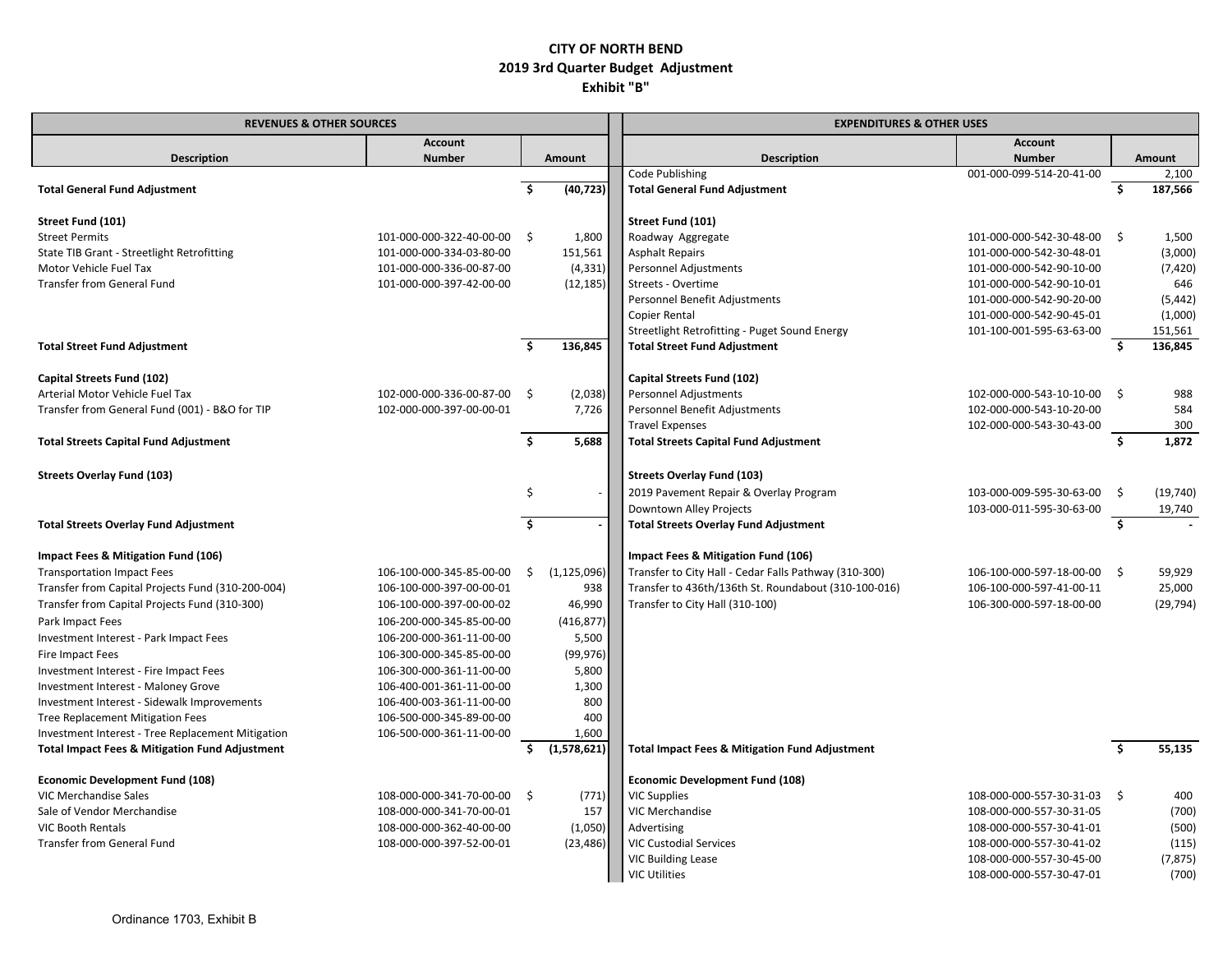| <b>REVENUES &amp; OTHER SOURCES</b>                       |                          | <b>EXPENDITURES &amp; OTHER USES</b> |               |                                                           |                             |     |           |
|-----------------------------------------------------------|--------------------------|--------------------------------------|---------------|-----------------------------------------------------------|-----------------------------|-----|-----------|
|                                                           | <b>Account</b>           |                                      |               |                                                           | <b>Account</b>              |     |           |
| <b>Description</b>                                        | <b>Number</b>            |                                      | Amount        | <b>Description</b>                                        | <b>Number</b>               |     | Amount    |
|                                                           |                          |                                      |               | Code Publishing                                           | 001-000-099-514-20-41-00    |     | 2,100     |
| <b>Total General Fund Adjustment</b>                      |                          | Ŝ.                                   | (40, 723)     | <b>Total General Fund Adjustment</b>                      |                             | Ś.  | 187,566   |
| Street Fund (101)                                         |                          |                                      |               | Street Fund (101)                                         |                             |     |           |
| <b>Street Permits</b>                                     | 101-000-000-322-40-00-00 | S.                                   | 1,800         | Roadway Aggregate                                         | 101-000-000-542-30-48-00 \$ |     | 1,500     |
| State TIB Grant - Streetlight Retrofitting                | 101-000-000-334-03-80-00 |                                      | 151,561       | Asphalt Repairs                                           | 101-000-000-542-30-48-01    |     | (3,000)   |
| Motor Vehicle Fuel Tax                                    | 101-000-000-336-00-87-00 |                                      | (4, 331)      | Personnel Adjustments                                     | 101-000-000-542-90-10-00    |     | (7, 420)  |
| <b>Transfer from General Fund</b>                         | 101-000-000-397-42-00-00 |                                      | (12, 185)     | Streets - Overtime                                        | 101-000-000-542-90-10-01    |     | 646       |
|                                                           |                          |                                      |               | Personnel Benefit Adjustments                             | 101-000-000-542-90-20-00    |     | (5, 442)  |
|                                                           |                          |                                      |               | Copier Rental                                             | 101-000-000-542-90-45-01    |     | (1,000)   |
|                                                           |                          |                                      |               | Streetlight Retrofitting - Puget Sound Energy             | 101-100-001-595-63-63-00    |     | 151,561   |
| <b>Total Street Fund Adjustment</b>                       |                          | Ŝ.                                   | 136,845       | <b>Total Street Fund Adjustment</b>                       |                             | Ŝ.  | 136,845   |
|                                                           |                          |                                      |               |                                                           |                             |     |           |
| Capital Streets Fund (102)                                |                          |                                      |               | Capital Streets Fund (102)                                |                             |     |           |
| Arterial Motor Vehicle Fuel Tax                           | 102-000-000-336-00-87-00 | Ŝ.                                   | (2,038)       | <b>Personnel Adjustments</b>                              | 102-000-000-543-10-10-00 \$ |     | 988       |
| Transfer from General Fund (001) - B&O for TIP            | 102-000-000-397-00-00-01 |                                      | 7,726         | Personnel Benefit Adjustments                             | 102-000-000-543-10-20-00    |     | 584       |
|                                                           |                          |                                      |               | <b>Travel Expenses</b>                                    | 102-000-000-543-30-43-00    |     | 300       |
| <b>Total Streets Capital Fund Adjustment</b>              |                          | \$                                   | 5,688         | <b>Total Streets Capital Fund Adjustment</b>              |                             | Ŝ.  | 1,872     |
|                                                           |                          |                                      |               |                                                           |                             |     |           |
| <b>Streets Overlay Fund (103)</b>                         |                          |                                      |               | <b>Streets Overlay Fund (103)</b>                         |                             |     |           |
|                                                           |                          | \$                                   |               | 2019 Pavement Repair & Overlay Program                    | 103-000-009-595-30-63-00    | - Ś | (19, 740) |
|                                                           |                          |                                      |               | Downtown Alley Projects                                   | 103-000-011-595-30-63-00    |     | 19,740    |
| <b>Total Streets Overlay Fund Adjustment</b>              |                          | \$                                   |               | <b>Total Streets Overlay Fund Adjustment</b>              |                             | Ŝ.  |           |
|                                                           |                          |                                      |               |                                                           |                             |     |           |
| Impact Fees & Mitigation Fund (106)                       |                          |                                      |               | Impact Fees & Mitigation Fund (106)                       |                             |     |           |
| <b>Transportation Impact Fees</b>                         | 106-100-000-345-85-00-00 | \$                                   | (1, 125, 096) | Transfer to City Hall - Cedar Falls Pathway (310-300)     | 106-100-000-597-18-00-00 \$ |     | 59,929    |
| Transfer from Capital Projects Fund (310-200-004)         | 106-100-000-397-00-00-01 |                                      | 938           | Transfer to 436th/136th St. Roundabout (310-100-016)      | 106-100-000-597-41-00-11    |     | 25,000    |
| Transfer from Capital Projects Fund (310-300)             | 106-100-000-397-00-00-02 |                                      | 46,990        | Transfer to City Hall (310-100)                           | 106-300-000-597-18-00-00    |     | (29, 794) |
| Park Impact Fees                                          | 106-200-000-345-85-00-00 |                                      | (416, 877)    |                                                           |                             |     |           |
| Investment Interest - Park Impact Fees                    | 106-200-000-361-11-00-00 |                                      | 5,500         |                                                           |                             |     |           |
| Fire Impact Fees                                          | 106-300-000-345-85-00-00 |                                      | (99, 976)     |                                                           |                             |     |           |
| Investment Interest - Fire Impact Fees                    | 106-300-000-361-11-00-00 |                                      | 5,800         |                                                           |                             |     |           |
| Investment Interest - Maloney Grove                       | 106-400-001-361-11-00-00 |                                      | 1,300         |                                                           |                             |     |           |
| Investment Interest - Sidewalk Improvements               | 106-400-003-361-11-00-00 |                                      | 800           |                                                           |                             |     |           |
| Tree Replacement Mitigation Fees                          | 106-500-000-345-89-00-00 |                                      | 400           |                                                           |                             |     |           |
| Investment Interest - Tree Replacement Mitigation         | 106-500-000-361-11-00-00 |                                      | 1,600         |                                                           |                             |     |           |
| <b>Total Impact Fees &amp; Mitigation Fund Adjustment</b> |                          | \$                                   | (1,578,621)   | <b>Total Impact Fees &amp; Mitigation Fund Adjustment</b> |                             | Ŝ   | 55,135    |
|                                                           |                          |                                      |               |                                                           |                             |     |           |
| <b>Economic Development Fund (108)</b>                    |                          |                                      |               | <b>Economic Development Fund (108)</b>                    |                             |     |           |
| VIC Merchandise Sales                                     | 108-000-000-341-70-00-00 | S.                                   | (771)         | <b>VIC Supplies</b>                                       | 108-000-000-557-30-31-03 \$ |     | 400       |
| Sale of Vendor Merchandise                                | 108-000-000-341-70-00-01 |                                      | 157           | VIC Merchandise                                           | 108-000-000-557-30-31-05    |     | (700)     |
| <b>VIC Booth Rentals</b>                                  | 108-000-000-362-40-00-00 |                                      | (1,050)       | Advertising                                               | 108-000-000-557-30-41-01    |     | (500)     |
| Transfer from General Fund                                | 108-000-000-397-52-00-01 |                                      | (23, 486)     | <b>VIC Custodial Services</b>                             | 108-000-000-557-30-41-02    |     | (115)     |
|                                                           |                          |                                      |               | <b>VIC Building Lease</b>                                 | 108-000-000-557-30-45-00    |     | (7, 875)  |
|                                                           |                          |                                      |               | <b>VIC Utilities</b>                                      | 108-000-000-557-30-47-01    |     | (700)     |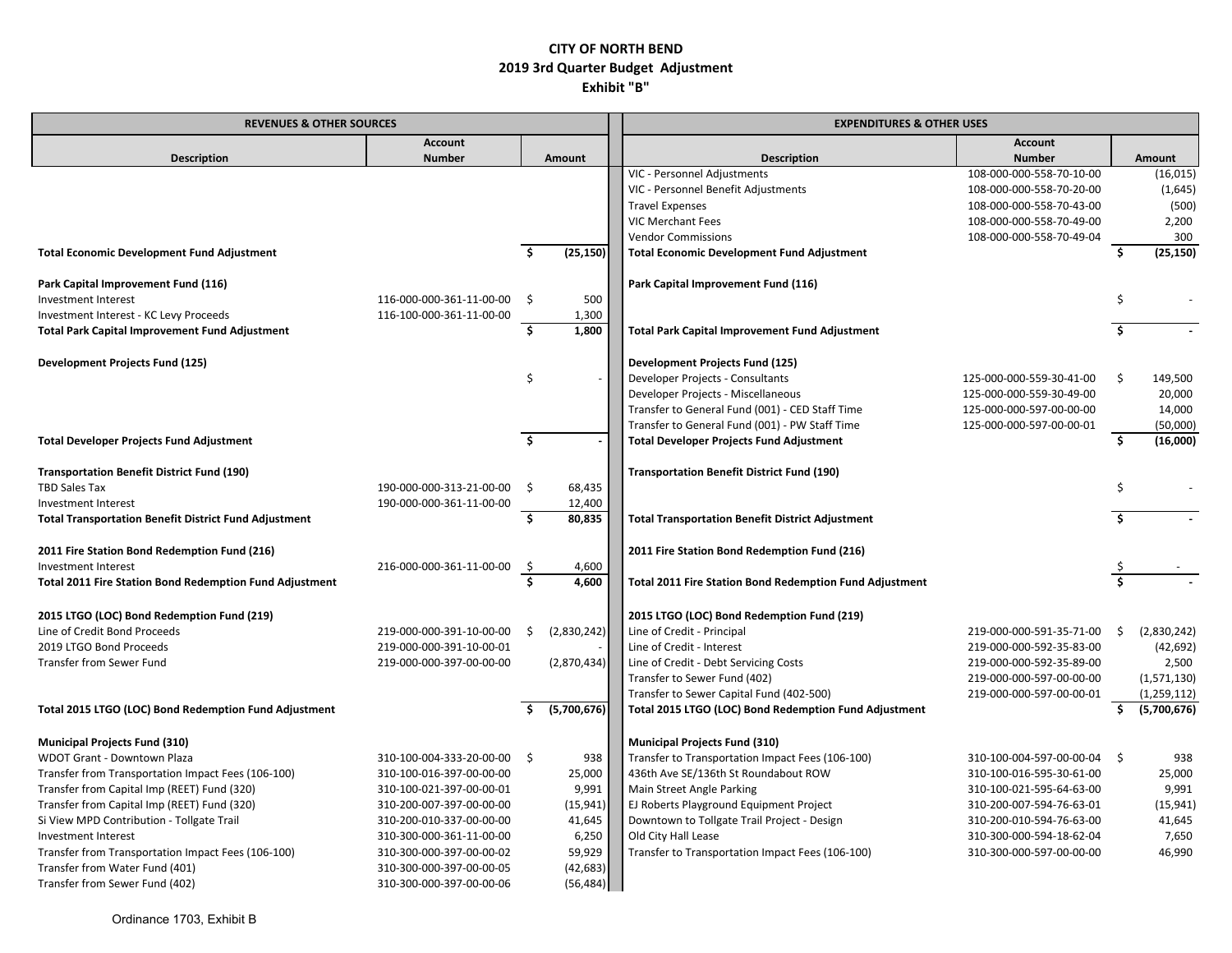| <b>REVENUES &amp; OTHER SOURCES</b>                          |                          |    |             | <b>EXPENDITURES &amp; OTHER USES</b>                           |                             |     |               |  |
|--------------------------------------------------------------|--------------------------|----|-------------|----------------------------------------------------------------|-----------------------------|-----|---------------|--|
|                                                              | <b>Account</b>           |    |             |                                                                | <b>Account</b>              |     |               |  |
| <b>Description</b>                                           | <b>Number</b>            |    | Amount      | <b>Description</b>                                             | <b>Number</b>               |     | Amount        |  |
|                                                              |                          |    |             | VIC - Personnel Adjustments                                    | 108-000-000-558-70-10-00    |     | (16, 015)     |  |
|                                                              |                          |    |             | VIC - Personnel Benefit Adjustments                            | 108-000-000-558-70-20-00    |     | (1,645)       |  |
|                                                              |                          |    |             | <b>Travel Expenses</b>                                         | 108-000-000-558-70-43-00    |     | (500)         |  |
|                                                              |                          |    |             | <b>VIC Merchant Fees</b>                                       | 108-000-000-558-70-49-00    |     | 2,200         |  |
|                                                              |                          |    |             | <b>Vendor Commissions</b>                                      | 108-000-000-558-70-49-04    |     | 300           |  |
| <b>Total Economic Development Fund Adjustment</b>            |                          | Ś  | (25, 150)   | <b>Total Economic Development Fund Adjustment</b>              |                             | Ŝ.  | (25, 150)     |  |
| Park Capital Improvement Fund (116)                          |                          |    |             | Park Capital Improvement Fund (116)                            |                             |     |               |  |
| Investment Interest                                          | 116-000-000-361-11-00-00 | Ŝ  | 500         |                                                                |                             | Ŝ.  |               |  |
| Investment Interest - KC Levy Proceeds                       | 116-100-000-361-11-00-00 |    | 1,300       |                                                                |                             |     |               |  |
| <b>Total Park Capital Improvement Fund Adjustment</b>        |                          | \$ | 1,800       | <b>Total Park Capital Improvement Fund Adjustment</b>          |                             | Ŝ.  |               |  |
| <b>Development Projects Fund (125)</b>                       |                          |    |             | <b>Development Projects Fund (125)</b>                         |                             |     |               |  |
|                                                              |                          | \$ |             | Developer Projects - Consultants                               | 125-000-000-559-30-41-00    | \$. | 149,500       |  |
|                                                              |                          |    |             | Developer Projects - Miscellaneous                             | 125-000-000-559-30-49-00    |     | 20,000        |  |
|                                                              |                          |    |             | Transfer to General Fund (001) - CED Staff Time                | 125-000-000-597-00-00-00    |     | 14,000        |  |
|                                                              |                          |    |             | Transfer to General Fund (001) - PW Staff Time                 | 125-000-000-597-00-00-01    |     | (50,000)      |  |
| <b>Total Developer Projects Fund Adjustment</b>              |                          | Ś  |             | <b>Total Developer Projects Fund Adjustment</b>                |                             | Ŝ.  | (16,000)      |  |
| <b>Transportation Benefit District Fund (190)</b>            |                          |    |             | <b>Transportation Benefit District Fund (190)</b>              |                             |     |               |  |
| TBD Sales Tax                                                | 190-000-000-313-21-00-00 | Ŝ. | 68,435      |                                                                |                             | Ś   |               |  |
| Investment Interest                                          | 190-000-000-361-11-00-00 |    | 12,400      |                                                                |                             |     |               |  |
| <b>Total Transportation Benefit District Fund Adjustment</b> |                          | Ŝ. | 80,835      | <b>Total Transportation Benefit District Adjustment</b>        |                             | Ŝ.  |               |  |
| 2011 Fire Station Bond Redemption Fund (216)                 |                          |    |             | 2011 Fire Station Bond Redemption Fund (216)                   |                             |     |               |  |
| Investment Interest                                          | 216-000-000-361-11-00-00 | \$ | 4,600       |                                                                |                             |     |               |  |
| Total 2011 Fire Station Bond Redemption Fund Adjustment      |                          | Ŝ. | 4.600       | <b>Total 2011 Fire Station Bond Redemption Fund Adjustment</b> |                             |     |               |  |
| 2015 LTGO (LOC) Bond Redemption Fund (219)                   |                          |    |             | 2015 LTGO (LOC) Bond Redemption Fund (219)                     |                             |     |               |  |
| Line of Credit Bond Proceeds                                 | 219-000-000-391-10-00-00 | -S | (2,830,242) | Line of Credit - Principal                                     | 219-000-000-591-35-71-00    | Ŝ.  | (2,830,242)   |  |
| 2019 LTGO Bond Proceeds                                      | 219-000-000-391-10-00-01 |    |             | Line of Credit - Interest                                      | 219-000-000-592-35-83-00    |     | (42, 692)     |  |
| <b>Transfer from Sewer Fund</b>                              | 219-000-000-397-00-00-00 |    | (2,870,434) | Line of Credit - Debt Servicing Costs                          | 219-000-000-592-35-89-00    |     | 2,500         |  |
|                                                              |                          |    |             | Transfer to Sewer Fund (402)                                   | 219-000-000-597-00-00-00    |     | (1,571,130)   |  |
|                                                              |                          |    |             | Transfer to Sewer Capital Fund (402-500)                       | 219-000-000-597-00-00-01    |     | (1, 259, 112) |  |
| Total 2015 LTGO (LOC) Bond Redemption Fund Adjustment        |                          |    | (5,700,676) | Total 2015 LTGO (LOC) Bond Redemption Fund Adjustment          |                             | Ś.  | (5,700,676)   |  |
| <b>Municipal Projects Fund (310)</b>                         |                          |    |             | <b>Municipal Projects Fund (310)</b>                           |                             |     |               |  |
| WDOT Grant - Downtown Plaza                                  | 310-100-004-333-20-00-00 | Ŝ. | 938         | Transfer to Transportation Impact Fees (106-100)               | 310-100-004-597-00-00-04 \$ |     | 938           |  |
| Transfer from Transportation Impact Fees (106-100)           | 310-100-016-397-00-00-00 |    | 25,000      | 436th Ave SE/136th St Roundabout ROW                           | 310-100-016-595-30-61-00    |     | 25,000        |  |
| Transfer from Capital Imp (REET) Fund (320)                  | 310-100-021-397-00-00-01 |    | 9,991       | Main Street Angle Parking                                      | 310-100-021-595-64-63-00    |     | 9,991         |  |
| Transfer from Capital Imp (REET) Fund (320)                  | 310-200-007-397-00-00-00 |    | (15, 941)   | EJ Roberts Playground Equipment Project                        | 310-200-007-594-76-63-01    |     | (15, 941)     |  |
| Si View MPD Contribution - Tollgate Trail                    | 310-200-010-337-00-00-00 |    | 41,645      | Downtown to Tollgate Trail Project - Design                    | 310-200-010-594-76-63-00    |     | 41,645        |  |
| Investment Interest                                          | 310-300-000-361-11-00-00 |    | 6,250       | Old City Hall Lease                                            | 310-300-000-594-18-62-04    |     | 7,650         |  |
| Transfer from Transportation Impact Fees (106-100)           | 310-300-000-397-00-00-02 |    | 59,929      | Transfer to Transportation Impact Fees (106-100)               | 310-300-000-597-00-00-00    |     | 46,990        |  |
| Transfer from Water Fund (401)                               | 310-300-000-397-00-00-05 |    | (42, 683)   |                                                                |                             |     |               |  |
| Transfer from Sewer Fund (402)                               | 310-300-000-397-00-00-06 |    | (56, 484)   |                                                                |                             |     |               |  |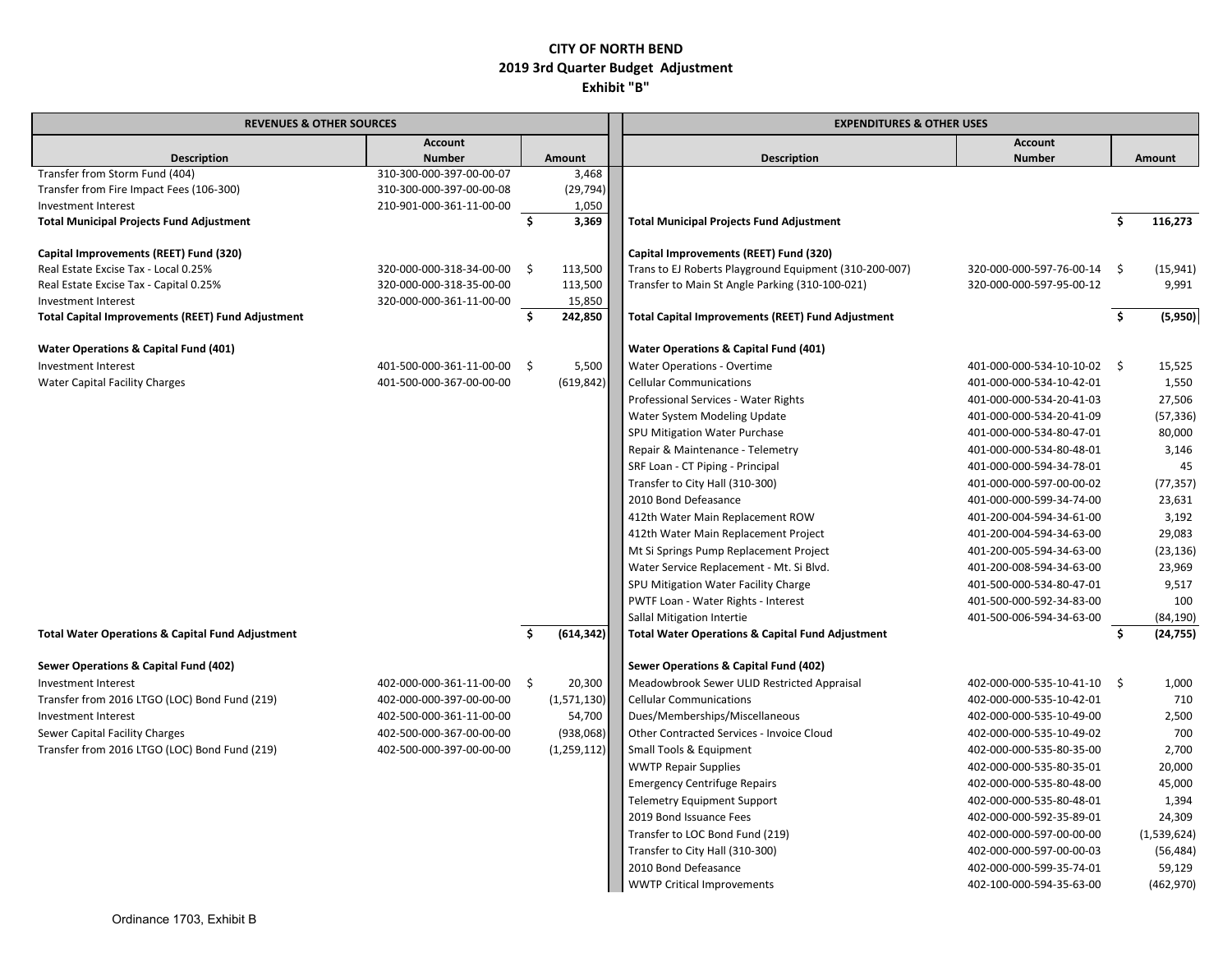| <b>REVENUES &amp; OTHER SOURCES</b>                                    |                          | <b>EXPENDITURES &amp; OTHER USES</b> |                |                                                             |                             |                         |             |
|------------------------------------------------------------------------|--------------------------|--------------------------------------|----------------|-------------------------------------------------------------|-----------------------------|-------------------------|-------------|
|                                                                        | <b>Account</b>           |                                      |                |                                                             | <b>Account</b>              |                         |             |
| <b>Description</b>                                                     | <b>Number</b>            |                                      | Amount         | <b>Description</b>                                          | <b>Number</b>               |                         | Amount      |
| Transfer from Storm Fund (404)                                         | 310-300-000-397-00-00-07 |                                      | 3,468          |                                                             |                             |                         |             |
| Transfer from Fire Impact Fees (106-300)                               | 310-300-000-397-00-00-08 |                                      | (29, 794)      |                                                             |                             |                         |             |
| Investment Interest<br><b>Total Municipal Projects Fund Adjustment</b> | 210-901-000-361-11-00-00 | \$.                                  | 1,050<br>3,369 | <b>Total Municipal Projects Fund Adjustment</b>             |                             | Ŝ.                      | 116,273     |
|                                                                        |                          |                                      |                |                                                             |                             |                         |             |
| Capital Improvements (REET) Fund (320)                                 |                          |                                      |                | Capital Improvements (REET) Fund (320)                      |                             |                         |             |
| Real Estate Excise Tax - Local 0.25%                                   | 320-000-000-318-34-00-00 | Ŝ.                                   | 113,500        | Trans to EJ Roberts Playground Equipment (310-200-007)      | 320-000-000-597-76-00-14 \$ |                         | (15, 941)   |
| Real Estate Excise Tax - Capital 0.25%                                 | 320-000-000-318-35-00-00 |                                      | 113,500        | Transfer to Main St Angle Parking (310-100-021)             | 320-000-000-597-95-00-12    |                         | 9,991       |
| Investment Interest                                                    | 320-000-000-361-11-00-00 |                                      | 15,850         |                                                             |                             |                         |             |
| <b>Total Capital Improvements (REET) Fund Adjustment</b>               |                          | Ś.                                   | 242,850        | <b>Total Capital Improvements (REET) Fund Adjustment</b>    |                             | $\overline{\mathsf{s}}$ | (5,950)     |
| Water Operations & Capital Fund (401)                                  |                          |                                      |                | Water Operations & Capital Fund (401)                       |                             |                         |             |
| Investment Interest                                                    | 401-500-000-361-11-00-00 | - \$                                 | 5,500          | Water Operations - Overtime                                 | 401-000-000-534-10-10-02 \$ |                         | 15,525      |
| <b>Water Capital Facility Charges</b>                                  | 401-500-000-367-00-00-00 |                                      | (619, 842)     | <b>Cellular Communications</b>                              | 401-000-000-534-10-42-01    |                         | 1,550       |
|                                                                        |                          |                                      |                | Professional Services - Water Rights                        | 401-000-000-534-20-41-03    |                         | 27,506      |
|                                                                        |                          |                                      |                | Water System Modeling Update                                | 401-000-000-534-20-41-09    |                         | (57, 336)   |
|                                                                        |                          |                                      |                | SPU Mitigation Water Purchase                               | 401-000-000-534-80-47-01    |                         | 80,000      |
|                                                                        |                          |                                      |                | Repair & Maintenance - Telemetry                            | 401-000-000-534-80-48-01    |                         | 3,146       |
|                                                                        |                          |                                      |                | SRF Loan - CT Piping - Principal                            | 401-000-000-594-34-78-01    |                         | 45          |
|                                                                        |                          |                                      |                | Transfer to City Hall (310-300)                             | 401-000-000-597-00-00-02    |                         | (77, 357)   |
|                                                                        |                          |                                      |                | 2010 Bond Defeasance                                        | 401-000-000-599-34-74-00    |                         | 23,631      |
|                                                                        |                          |                                      |                | 412th Water Main Replacement ROW                            | 401-200-004-594-34-61-00    |                         | 3,192       |
|                                                                        |                          |                                      |                | 412th Water Main Replacement Project                        | 401-200-004-594-34-63-00    |                         | 29,083      |
|                                                                        |                          |                                      |                | Mt Si Springs Pump Replacement Project                      | 401-200-005-594-34-63-00    |                         | (23, 136)   |
|                                                                        |                          |                                      |                | Water Service Replacement - Mt. Si Blvd.                    | 401-200-008-594-34-63-00    |                         | 23,969      |
|                                                                        |                          |                                      |                | SPU Mitigation Water Facility Charge                        | 401-500-000-534-80-47-01    |                         | 9,517       |
|                                                                        |                          |                                      |                | PWTF Loan - Water Rights - Interest                         | 401-500-000-592-34-83-00    |                         | 100         |
|                                                                        |                          |                                      |                | Sallal Mitigation Intertie                                  | 401-500-006-594-34-63-00    |                         | (84, 190)   |
| <b>Total Water Operations &amp; Capital Fund Adjustment</b>            |                          | Ŝ.                                   | (614, 342)     | <b>Total Water Operations &amp; Capital Fund Adjustment</b> |                             | Ś.                      | (24, 755)   |
| Sewer Operations & Capital Fund (402)                                  |                          |                                      |                | Sewer Operations & Capital Fund (402)                       |                             |                         |             |
| Investment Interest                                                    | 402-000-000-361-11-00-00 | \$                                   | 20,300         | Meadowbrook Sewer ULID Restricted Appraisal                 | 402-000-000-535-10-41-10 \$ |                         | 1,000       |
| Transfer from 2016 LTGO (LOC) Bond Fund (219)                          | 402-000-000-397-00-00-00 |                                      | (1,571,130)    | <b>Cellular Communications</b>                              | 402-000-000-535-10-42-01    |                         | 710         |
| Investment Interest                                                    | 402-500-000-361-11-00-00 |                                      | 54,700         | Dues/Memberships/Miscellaneous                              | 402-000-000-535-10-49-00    |                         | 2,500       |
| Sewer Capital Facility Charges                                         | 402-500-000-367-00-00-00 |                                      | (938,068)      | Other Contracted Services - Invoice Cloud                   | 402-000-000-535-10-49-02    |                         | 700         |
| Transfer from 2016 LTGO (LOC) Bond Fund (219)                          | 402-500-000-397-00-00-00 |                                      | (1, 259, 112)  | Small Tools & Equipment                                     | 402-000-000-535-80-35-00    |                         | 2,700       |
|                                                                        |                          |                                      |                | <b>WWTP Repair Supplies</b>                                 | 402-000-000-535-80-35-01    |                         | 20,000      |
|                                                                        |                          |                                      |                | <b>Emergency Centrifuge Repairs</b>                         | 402-000-000-535-80-48-00    |                         | 45,000      |
|                                                                        |                          |                                      |                | <b>Telemetry Equipment Support</b>                          | 402-000-000-535-80-48-01    |                         | 1,394       |
|                                                                        |                          |                                      |                | 2019 Bond Issuance Fees                                     | 402-000-000-592-35-89-01    |                         | 24,309      |
|                                                                        |                          |                                      |                | Transfer to LOC Bond Fund (219)                             | 402-000-000-597-00-00-00    |                         | (1,539,624) |
|                                                                        |                          |                                      |                | Transfer to City Hall (310-300)                             | 402-000-000-597-00-00-03    |                         | (56, 484)   |
|                                                                        |                          |                                      |                | 2010 Bond Defeasance                                        | 402-000-000-599-35-74-01    |                         | 59,129      |
|                                                                        |                          |                                      |                | <b>WWTP Critical Improvements</b>                           | 402-100-000-594-35-63-00    |                         | (462, 970)  |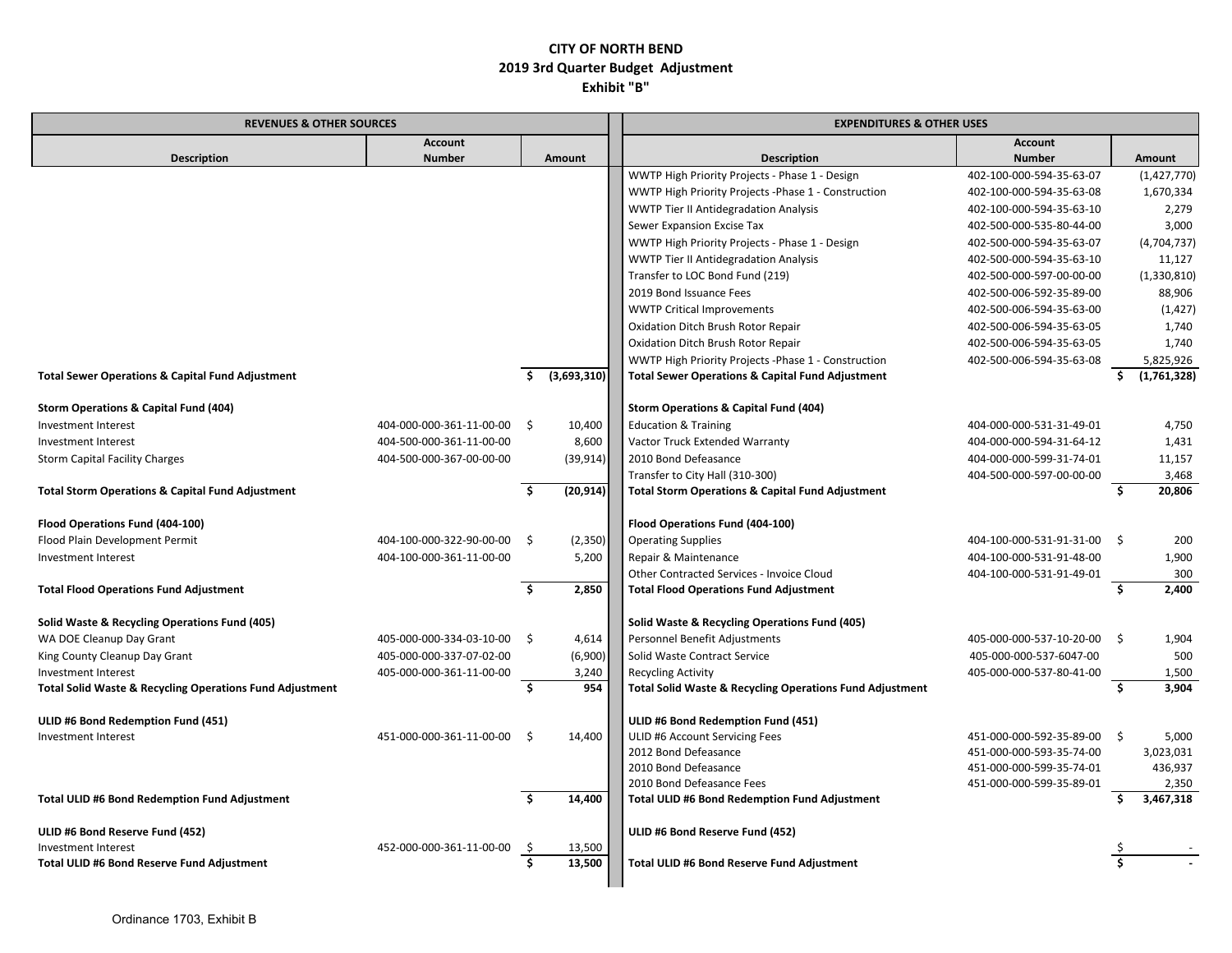| <b>REVENUES &amp; OTHER SOURCES</b>                                 |                          |         |                  | <b>EXPENDITURES &amp; OTHER USES</b>                        |                             |      |               |  |
|---------------------------------------------------------------------|--------------------------|---------|------------------|-------------------------------------------------------------|-----------------------------|------|---------------|--|
|                                                                     | <b>Account</b>           |         |                  |                                                             | <b>Account</b>              |      |               |  |
| <b>Description</b>                                                  | <b>Number</b>            |         | Amount           | <b>Description</b>                                          | <b>Number</b>               |      | <b>Amount</b> |  |
|                                                                     |                          |         |                  | WWTP High Priority Projects - Phase 1 - Design              | 402-100-000-594-35-63-07    |      | (1,427,770)   |  |
|                                                                     |                          |         |                  | WWTP High Priority Projects - Phase 1 - Construction        | 402-100-000-594-35-63-08    |      | 1,670,334     |  |
|                                                                     |                          |         |                  | <b>WWTP Tier II Antidegradation Analysis</b>                | 402-100-000-594-35-63-10    |      | 2,279         |  |
|                                                                     |                          |         |                  | Sewer Expansion Excise Tax                                  | 402-500-000-535-80-44-00    |      | 3,000         |  |
|                                                                     |                          |         |                  | WWTP High Priority Projects - Phase 1 - Design              | 402-500-000-594-35-63-07    |      | (4,704,737)   |  |
|                                                                     |                          |         |                  | WWTP Tier II Antidegradation Analysis                       | 402-500-000-594-35-63-10    |      | 11,127        |  |
|                                                                     |                          |         |                  | Transfer to LOC Bond Fund (219)                             | 402-500-000-597-00-00-00    |      | (1,330,810)   |  |
|                                                                     |                          |         |                  | 2019 Bond Issuance Fees                                     | 402-500-006-592-35-89-00    |      | 88,906        |  |
|                                                                     |                          |         |                  | <b>WWTP Critical Improvements</b>                           | 402-500-006-594-35-63-00    |      | (1, 427)      |  |
|                                                                     |                          |         |                  | Oxidation Ditch Brush Rotor Repair                          | 402-500-006-594-35-63-05    |      | 1,740         |  |
|                                                                     |                          |         |                  | Oxidation Ditch Brush Rotor Repair                          | 402-500-006-594-35-63-05    |      | 1,740         |  |
|                                                                     |                          |         |                  | WWTP High Priority Projects - Phase 1 - Construction        | 402-500-006-594-35-63-08    |      | 5,825,926     |  |
| <b>Total Sewer Operations &amp; Capital Fund Adjustment</b>         |                          | Ŝ.      | (3,693,310)      | <b>Total Sewer Operations &amp; Capital Fund Adjustment</b> |                             | Ŝ.   | (1,761,328)   |  |
| <b>Storm Operations &amp; Capital Fund (404)</b>                    |                          |         |                  | <b>Storm Operations &amp; Capital Fund (404)</b>            |                             |      |               |  |
| Investment Interest                                                 | 404-000-000-361-11-00-00 | S.      | 10,400           | <b>Education &amp; Training</b>                             | 404-000-000-531-31-49-01    |      | 4,750         |  |
| Investment Interest                                                 | 404-500-000-361-11-00-00 |         | 8,600            | Vactor Truck Extended Warranty                              | 404-000-000-594-31-64-12    |      | 1,431         |  |
| <b>Storm Capital Facility Charges</b>                               | 404-500-000-367-00-00-00 |         | (39, 914)        | 2010 Bond Defeasance                                        | 404-000-000-599-31-74-01    |      | 11,157        |  |
|                                                                     |                          |         |                  | Transfer to City Hall (310-300)                             | 404-500-000-597-00-00-00    |      | 3,468         |  |
| <b>Total Storm Operations &amp; Capital Fund Adjustment</b>         |                          | Ś.      | (20, 914)        | <b>Total Storm Operations &amp; Capital Fund Adjustment</b> |                             | Ś.   | 20,806        |  |
|                                                                     |                          |         |                  |                                                             |                             |      |               |  |
| Flood Operations Fund (404-100)                                     |                          |         |                  | Flood Operations Fund (404-100)                             |                             |      |               |  |
| Flood Plain Development Permit                                      | 404-100-000-322-90-00-00 | - \$    | (2, 350)         | <b>Operating Supplies</b>                                   | 404-100-000-531-91-31-00 \$ |      | 200           |  |
| Investment Interest                                                 | 404-100-000-361-11-00-00 |         | 5,200            | Repair & Maintenance                                        | 404-100-000-531-91-48-00    |      | 1,900         |  |
|                                                                     |                          |         |                  | Other Contracted Services - Invoice Cloud                   | 404-100-000-531-91-49-01    |      | 300           |  |
| <b>Total Flood Operations Fund Adjustment</b>                       |                          | Ś.      | 2,850            | <b>Total Flood Operations Fund Adjustment</b>               |                             | Ŝ.   | 2,400         |  |
| Solid Waste & Recycling Operations Fund (405)                       |                          |         |                  | Solid Waste & Recycling Operations Fund (405)               |                             |      |               |  |
| WA DOE Cleanup Day Grant                                            | 405-000-000-334-03-10-00 | - \$    | 4,614            | Personnel Benefit Adjustments                               | 405-000-000-537-10-20-00    | - \$ | 1,904         |  |
| King County Cleanup Day Grant                                       | 405-000-000-337-07-02-00 |         | (6,900)          | Solid Waste Contract Service                                | 405-000-000-537-6047-00     |      | 500           |  |
| Investment Interest                                                 | 405-000-000-361-11-00-00 |         | 3,240            | <b>Recycling Activity</b>                                   | 405-000-000-537-80-41-00    |      | 1,500         |  |
| <b>Total Solid Waste &amp; Recycling Operations Fund Adjustment</b> |                          | Ś.      | 954              | Total Solid Waste & Recycling Operations Fund Adjustment    |                             | Ś.   | 3,904         |  |
|                                                                     |                          |         |                  |                                                             |                             |      |               |  |
| ULID #6 Bond Redemption Fund (451)                                  |                          |         |                  | ULID #6 Bond Redemption Fund (451)                          |                             |      |               |  |
| <b>Investment Interest</b>                                          | 451-000-000-361-11-00-00 | - Ś     | 14,400           | ULID #6 Account Servicing Fees                              | 451-000-000-592-35-89-00    | - \$ | 5,000         |  |
|                                                                     |                          |         |                  | 2012 Bond Defeasance                                        | 451-000-000-593-35-74-00    |      | 3,023,031     |  |
|                                                                     |                          |         |                  | 2010 Bond Defeasance                                        | 451-000-000-599-35-74-01    |      | 436,937       |  |
|                                                                     |                          |         |                  | 2010 Bond Defeasance Fees                                   | 451-000-000-599-35-89-01    |      | 2,350         |  |
| Total ULID #6 Bond Redemption Fund Adjustment                       |                          |         | 14,400           | Total ULID #6 Bond Redemption Fund Adjustment               |                             | Ŝ.   | 3,467,318     |  |
|                                                                     |                          |         |                  |                                                             |                             |      |               |  |
| ULID #6 Bond Reserve Fund (452)<br>Investment Interest              | 452-000-000-361-11-00-00 |         |                  | ULID #6 Bond Reserve Fund (452)                             |                             |      |               |  |
| Total ULID #6 Bond Reserve Fund Adjustment                          |                          | S<br>Ŝ. | 13,500<br>13,500 | Total ULID #6 Bond Reserve Fund Adjustment                  |                             |      |               |  |
|                                                                     |                          |         |                  |                                                             |                             |      |               |  |
|                                                                     |                          |         |                  |                                                             |                             |      |               |  |